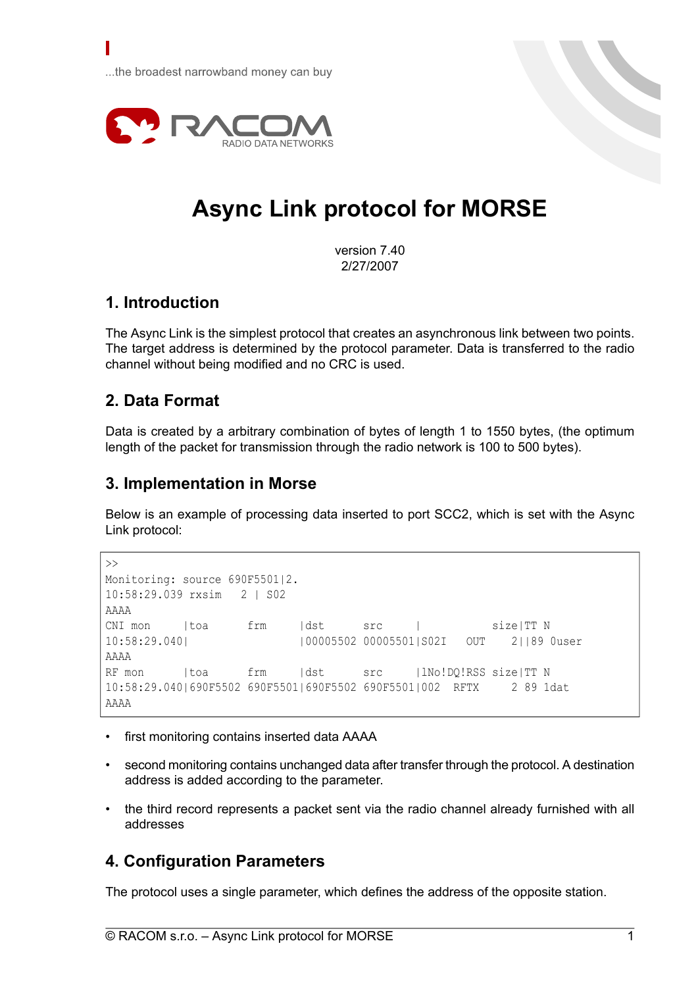...the broadest narrowband money can buy



# **Async Link protocol for MORSE**

version 7.40 2/27/2007

## **1. Introduction**

Γ

The Async Link is the simplest protocol that creates an asynchronous link between two points. The target address is determined by the protocol parameter. Data is transferred to the radio channel without being modified and no CRC is used.

### **2. Data Format**

Data is created by a arbitrary combination of bytes of length 1 to 1550 bytes, (the optimum length of the packet for transmission through the radio network is 100 to 500 bytes).

### **3. Implementation in Morse**

Below is an example of processing data inserted to port SCC2, which is set with the Async Link protocol:

```
\rightarrowMonitoring: source 690F5501|2.
10:58:29.039 rxsim 2 | S02
AAAA
CNI mon |toa frm |dst src | size|TT N
10:58:29.040| |00005502 00005501|S02I OUT 2||89 0user
AAAA
RF mon |toa frm |dst src |lNo!DQ!RSS size|TT N
10:58:29.040|690F5502 690F5501|690F5502 690F5501|002 RFTX 2 89 1dat
AAAA
```
- first monitoring contains inserted data AAAA
- second monitoring contains unchanged data after transfer through the protocol. A destination address is added according to the parameter.
- the third record represents a packet sent via the radio channel already furnished with all addresses

### **4. Configuration Parameters**

The protocol uses a single parameter, which defines the address of the opposite station.